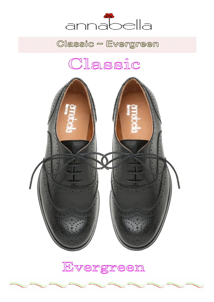

Classic ~ Evergreen

# Classic



Evergreen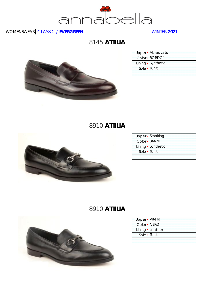

# 8145 **ATTILIA**



| Upper · Abrasivato |  |
|--------------------|--|
| Color - BORDO'     |  |
| Lining • Synthetic |  |
| Sole • Tunit       |  |
|                    |  |

# 8910 **ATTILIA**



|               | Upper • Smoking    |
|---------------|--------------------|
| Color - 344 M |                    |
|               | Lining • Synthetic |
|               | Sole • Tunit       |
|               |                    |

# 8910 **ATTILIA**



| Upper - Vitello  |  |
|------------------|--|
| Color • NERO     |  |
| Lining · Leather |  |
| Sole - Tunit     |  |
|                  |  |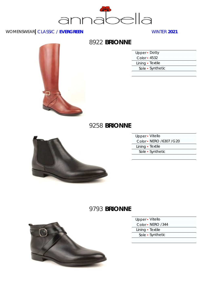



### 8922 **BRIONNE**

| Upper • Dotty    |                  |
|------------------|------------------|
| Color - 4532     |                  |
| Lining • Textile |                  |
|                  | Sole • Synthetic |
|                  |                  |

#### 9258 **BRIONNE**



| Upper - Vitello         |  |
|-------------------------|--|
| Color - NERO /6307 /G20 |  |
| Lining · Textile        |  |
| Sole • Synthetic        |  |
|                         |  |

# 9793 **BRIONNE**



|  |         |  | Vitello |  |
|--|---------|--|---------|--|
|  | Upper • |  |         |  |

Color ▪ NERO /344

Lining • Textile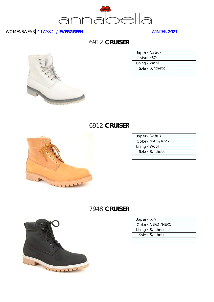

# 6912 **CRUISER**



| Upper - Nabuk    |
|------------------|
| Color - 4574     |
| Lining • Wool    |
| Sole • Synthetic |
|                  |

#### 6912 **CRUISER**



| Upper - Nabuk |                    |
|---------------|--------------------|
|               | Color • MAIS /4726 |
| Lining • Wool |                    |
|               | Sole • Synthetic   |
|               |                    |

### 7948 **CRUISER**



- Upper Sun
- Color NERO /NERO
- Lining Synthetic
- Sole Synthetic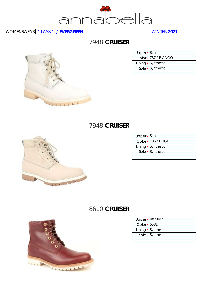

# 7948 **CRUISER**



| Lining • Synthetic |
|--------------------|
|                    |

#### 7948 **CRUISER**



| Upper - Sun         |  |
|---------------------|--|
| Color • 786 / BEIGE |  |
| Lining • Synthetic  |  |
| Sole • Synthetic    |  |
|                     |  |

# 8610 **CRUISER**



| Upper • Traction   |  |
|--------------------|--|
| Color • 6581       |  |
| Lining • Synthetic |  |
| Sole • Synthetic   |  |
|                    |  |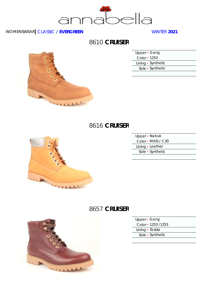

# 8610 **CRUISER**



| Upper · Gang       |  |
|--------------------|--|
| Color - 1253       |  |
| Lining • Synthetic |  |
| Sole • Synthetic   |  |
|                    |  |

#### 8616 **CRUISER**



| Upper - Nabuk      |
|--------------------|
| Color - MAIS / C30 |
| Lining · Leather   |
| Sole • Synthetic   |
|                    |

# 8657 **CRUISER**



| Upper • Gang |  |
|--------------|--|
|--------------|--|

Color ▪ 1253 /1253

Lining • Textile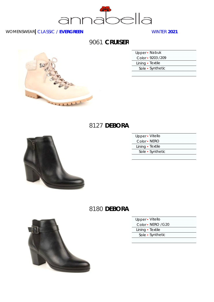

# 9061 **CRUISER**



| Upper • Nabuk     |  |
|-------------------|--|
| Color - 9203 /209 |  |
| Lining · Textile  |  |
| Sole • Synthetic  |  |
|                   |  |

### 8127 **DEBORA**



| Upper - Vitello  |  |
|------------------|--|
| Color - NERO     |  |
| Lining • Textile |  |
| Sole • Synthetic |  |
|                  |  |

### 8180 **DEBORA**



|  | Upper · Vitello |  |  |
|--|-----------------|--|--|
|  |                 |  |  |

Color · NERO / G20

Lining • Textile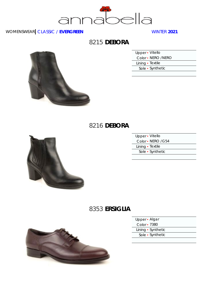

# 8215 **DEBORA**

| Upper • Vitello    |  |
|--------------------|--|
| Color • NERO /NERO |  |
| Lining · Textile   |  |
| Sole • Synthetic   |  |

# 8216 **DEBORA**



| Upper - Vitello    |  |
|--------------------|--|
| Color - NERO / G54 |  |
| Lining · Textile   |  |
| Sole • Synthetic   |  |
|                    |  |

# 8353 **ERSIGLIA**



| Upper · Algar      |  |
|--------------------|--|
| Color - 7380       |  |
| Lining • Synthetic |  |
| Sole • Synthetic   |  |
|                    |  |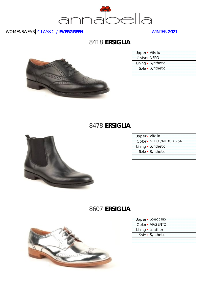

### 8418 **ERSIGLIA**



| Upper - Vitello    |
|--------------------|
| Color - NERO       |
| Lining • Synthetic |
| Sole • Synthetic   |
|                    |

### 8478 **ERSIGLIA**



| Upper - Vitello |                         |
|-----------------|-------------------------|
|                 | Color - NERO /NERO /G54 |
|                 | Lining • Synthetic      |
|                 | Sole • Synthetic        |
|                 |                         |

# 8607 **ERSIGLIA**



- Upper Specchio
- Color ARGENTO
- Lining Leather
	- Sole Synthetic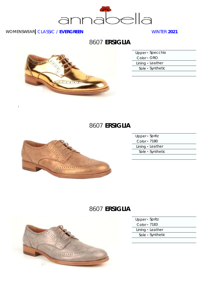

 $\overline{1}$ 

# 8607 **ERSIGLIA**



| Upper · Specchio |  |
|------------------|--|
| Color • ORO      |  |
| Lining · Leather |  |
| Sole • Synthetic |  |
|                  |  |

# 8607 **ERSIGLIA**



| Upper - Spritz   |  |
|------------------|--|
| Color • 7180     |  |
| Lining • Leather |  |
| Sole • Synthetic |  |
|                  |  |

# 8607 **ERSIGLIA**



| Upper • Spritz   |  |
|------------------|--|
| Color • 7183     |  |
| Lining · Leather |  |
| Sole • Synthetic |  |
|                  |  |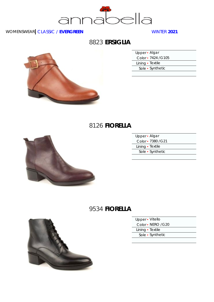

### 8823 **ERSIGLIA**



| Upper · Algar       |  |
|---------------------|--|
| Color - 7424 / G105 |  |
| Lining • Textile    |  |
| Sole • Synthetic    |  |

# 8126 **FIORELLA**



| Upper · Algar      |  |
|--------------------|--|
| Color - 7380 / G21 |  |
| Lining • Textile   |  |
| Sole • Synthetic   |  |
|                    |  |

# 9534 **FIORELLA**



|  | Upper • Vitello |  |
|--|-----------------|--|

Color · NERO / G20

Lining • Textile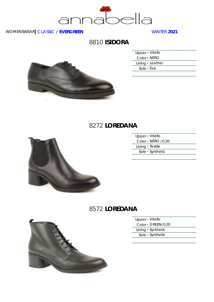

### 8810 **ISIDORA**



| Upper · Vitello  |  |
|------------------|--|
| Color - NERO     |  |
| Lining • Leather |  |
| Sole • Eva       |  |
|                  |  |

# 8272 **LOREDANA**



| Upper - Vitello    |  |
|--------------------|--|
| Color • NERO / G20 |  |
| Lining · Textile   |  |
| Sole • Synthetic   |  |
|                    |  |

#### 8572 **LOREDANA**



- Upper Vitello
- Color · GREEN/G20
- Lining Synthetic
- Sole Synthetic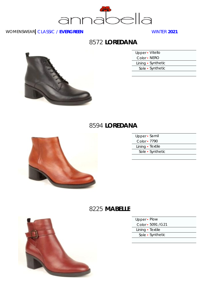

#### 8572 **LOREDANA**

| Upper - Vitello    |  |
|--------------------|--|
| Color - NERO       |  |
| Lining • Synthetic |  |
| Sole • Synthetic   |  |
|                    |  |

# 8594 **LOREDANA**



| Upper · Samil    |  |
|------------------|--|
| Color - 7790     |  |
| Lining • Textile |  |
| Sole • Synthetic |  |
|                  |  |

#### 8225 **MABELLE**



| Upper • Plow |  |  |  |  |  |  |  |  |
|--------------|--|--|--|--|--|--|--|--|
|--------------|--|--|--|--|--|--|--|--|

Color ▪ 5091 /G21

Lining • Textile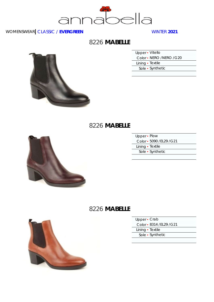

#### 8226 **MABELLE**

| Upper - Vitello         |  |
|-------------------------|--|
| Color - NERO /NERO /G20 |  |
| Lining · Textile        |  |
| Sole • Synthetic        |  |

#### 8226 **MABELLE**



| Upper - Plow              |  |
|---------------------------|--|
| Color - 5090 / EL29 / G21 |  |
| Lining · Textile          |  |
| Sole • Synthetic          |  |
|                           |  |

# 8226 **MABELLE**



| Upper • Crab |                           |
|--------------|---------------------------|
|              | Color - 8314 / EL29 / G21 |

Lining • Textile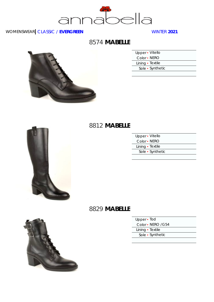

### 8574 **MABELLE**



| Upper - Vitello  |  |
|------------------|--|
| Color • NERO     |  |
| Lining · Textile |  |
| Sole • Synthetic |  |
|                  |  |



#### Upper ▪ Vitello Color ▪ NERO Lining • Textile Sole ▪ Synthetic





|  |  | Upper · Tod |  |  |
|--|--|-------------|--|--|
|--|--|-------------|--|--|

Color ▪ NERO /G54

Lining • Textile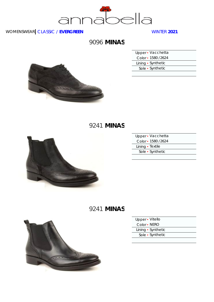

# 9096 **MINAS**

| Upper • Vacchetta   |  |
|---------------------|--|
| Color - 1580 / 2624 |  |
| Lining • Synthetic  |  |
| Sole • Synthetic    |  |
|                     |  |



# 9241 **MINAS**



| Upper · Vacchetta   |  |
|---------------------|--|
| Color - 1580 / 2624 |  |
| Lining · Textile    |  |
| Sole • Synthetic    |  |
|                     |  |

# 9241 **MINAS**



| Upper · Vitello    |  |
|--------------------|--|
| Color - NERO       |  |
| Lining • Synthetic |  |
| Sole • Synthetic   |  |
|                    |  |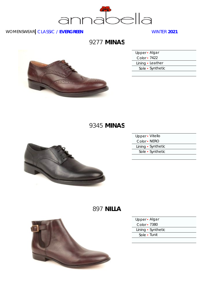

# 9277 **MINAS**



| Upper · Algar    |  |
|------------------|--|
| Color - 7422     |  |
| Lining · Leather |  |
| Sole • Synthetic |  |
|                  |  |

# 9345 **MINAS**



| Upper - Vitello |                    |
|-----------------|--------------------|
| Color • NERO    |                    |
|                 | Lining • Synthetic |
|                 | Sole • Synthetic   |
|                 |                    |

# 897 **NILLA**



| Upper • Algar      |  |
|--------------------|--|
| Color • 7380       |  |
| Lining • Synthetic |  |
| Sole - Tunit       |  |
|                    |  |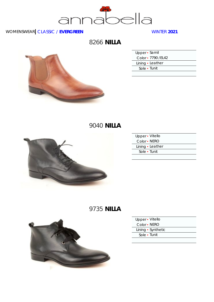

8266 **NILLA**



| Upper · Samil       |
|---------------------|
| Color - 7790 / EL42 |
| Lining · Leather    |
| Sole • Tunit        |
|                     |

# 9040 **NILLA**



| Upper - Vitello  |  |
|------------------|--|
| Color - NERO     |  |
| Lining · Leather |  |
| Sole • Tunit     |  |
|                  |  |

# 9735 **NILLA**



| Upper · Vitello |                    |
|-----------------|--------------------|
| Color - NERO    |                    |
|                 | Lining • Synthetic |
| Sole • Tunit    |                    |
|                 |                    |